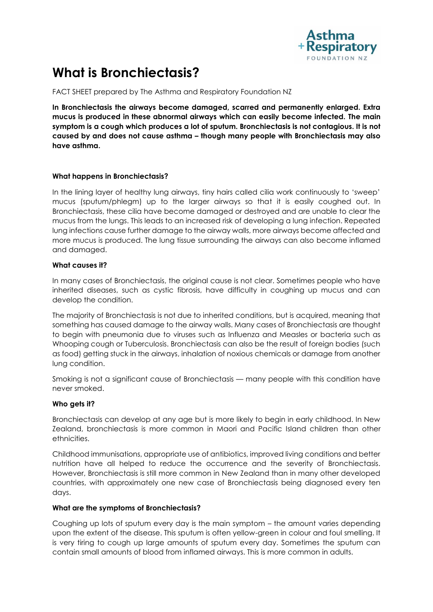

# **What is Bronchiectasis?**

FACT SHEET prepared by The Asthma and Respiratory Foundation NZ

**In Bronchiectasis the airways become damaged, scarred and permanently enlarged. Extra mucus is produced in these abnormal airways which can easily become infected. The main symptom is a cough which produces a lot of sputum. Bronchiectasis is not contagious. It is not caused by and does not cause asthma – though many people with Bronchiectasis may also have asthma.** 

## **What happens in Bronchiectasis?**

In the lining layer of healthy lung airways, tiny hairs called cilia work continuously to 'sweep' mucus (sputum/phlegm) up to the larger airways so that it is easily coughed out. In Bronchiectasis, these cilia have become damaged or destroyed and are unable to clear the mucus from the lungs. This leads to an increased risk of developing a lung infection. Repeated lung infections cause further damage to the airway walls, more airways become affected and more mucus is produced. The lung tissue surrounding the airways can also become inflamed and damaged.

## **What causes it?**

In many cases of Bronchiectasis, the original cause is not clear. Sometimes people who have inherited diseases, such as cystic fibrosis, have difficulty in coughing up mucus and can develop the condition.

The majority of Bronchiectasis is not due to inherited conditions, but is acquired, meaning that something has caused damage to the airway walls. Many cases of Bronchiectasis are thought to begin with pneumonia due to viruses such as Influenza and Measles or bacteria such as Whooping cough or Tuberculosis. Bronchiectasis can also be the result of foreign bodies (such as food) getting stuck in the airways, inhalation of noxious chemicals or damage from another lung condition.

Smoking is not a significant cause of Bronchiectasis — many people with this condition have never smoked.

## **Who gets it?**

Bronchiectasis can develop at any age but is more likely to begin in early childhood. In New Zealand, bronchiectasis is more common in Maori and Pacific Island children than other ethnicities.

Childhood immunisations, appropriate use of antibiotics, improved living conditions and better nutrition have all helped to reduce the occurrence and the severity of Bronchiectasis. However, Bronchiectasis is still more common in New Zealand than in many other developed countries, with approximately one new case of Bronchiectasis being diagnosed every ten days.

## **What are the symptoms of Bronchiectasis?**

Coughing up lots of sputum every day is the main symptom – the amount varies depending upon the extent of the disease. This sputum is often yellow-green in colour and foul smelling. It is very tiring to cough up large amounts of sputum every day. Sometimes the sputum can contain small amounts of blood from inflamed airways. This is more common in adults.